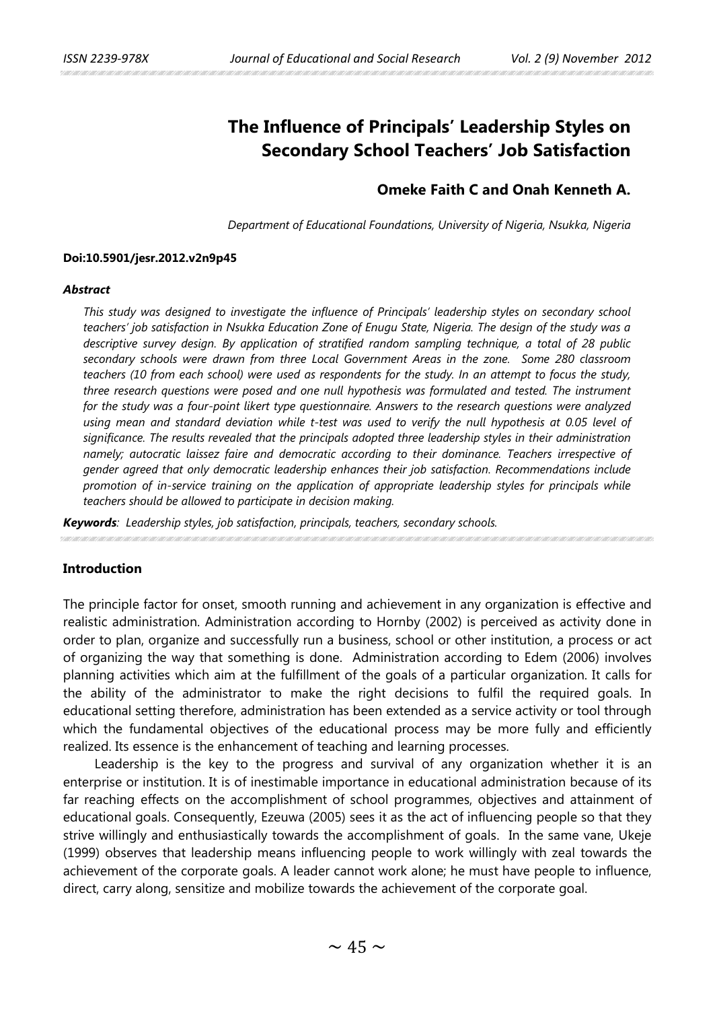# **The Influence of Principals' Leadership Styles on Secondary School Teachers' Job Satisfaction**

# **Omeke Faith C and Onah Kenneth A.**

*Department of Educational Foundations, University of Nigeria, Nsukka, Nigeria*

#### **Doi:10.5901/jesr.2012.v2n9p45**

#### *Abstract*

*This study was designed to investigate the influence of Principals' leadership styles on secondary school teachers' job satisfaction in Nsukka Education Zone of Enugu State, Nigeria. The design of the study was a descriptive survey design. By application of stratified random sampling technique, a total of 28 public secondary schools were drawn from three Local Government Areas in the zone. Some 280 classroom teachers (10 from each school) were used as respondents for the study. In an attempt to focus the study, three research questions were posed and one null hypothesis was formulated and tested. The instrument for the study was a four-point likert type questionnaire. Answers to the research questions were analyzed using mean and standard deviation while t-test was used to verify the null hypothesis at 0.05 level of significance. The results revealed that the principals adopted three leadership styles in their administration namely; autocratic laissez faire and democratic according to their dominance. Teachers irrespective of gender agreed that only democratic leadership enhances their job satisfaction. Recommendations include promotion of in-service training on the application of appropriate leadership styles for principals while teachers should be allowed to participate in decision making.*

*Keywords: Leadership styles, job satisfaction, principals, teachers, secondary schools.* 

#### **Introduction**

The principle factor for onset, smooth running and achievement in any organization is effective and realistic administration. Administration according to Hornby (2002) is perceived as activity done in order to plan, organize and successfully run a business, school or other institution, a process or act of organizing the way that something is done. Administration according to Edem (2006) involves planning activities which aim at the fulfillment of the goals of a particular organization. It calls for the ability of the administrator to make the right decisions to fulfil the required goals. In educational setting therefore, administration has been extended as a service activity or tool through which the fundamental objectives of the educational process may be more fully and efficiently realized. Its essence is the enhancement of teaching and learning processes.

Leadership is the key to the progress and survival of any organization whether it is an enterprise or institution. It is of inestimable importance in educational administration because of its far reaching effects on the accomplishment of school programmes, objectives and attainment of educational goals. Consequently, Ezeuwa (2005) sees it as the act of influencing people so that they strive willingly and enthusiastically towards the accomplishment of goals. In the same vane, Ukeje (1999) observes that leadership means influencing people to work willingly with zeal towards the achievement of the corporate goals. A leader cannot work alone; he must have people to influence, direct, carry along, sensitize and mobilize towards the achievement of the corporate goal.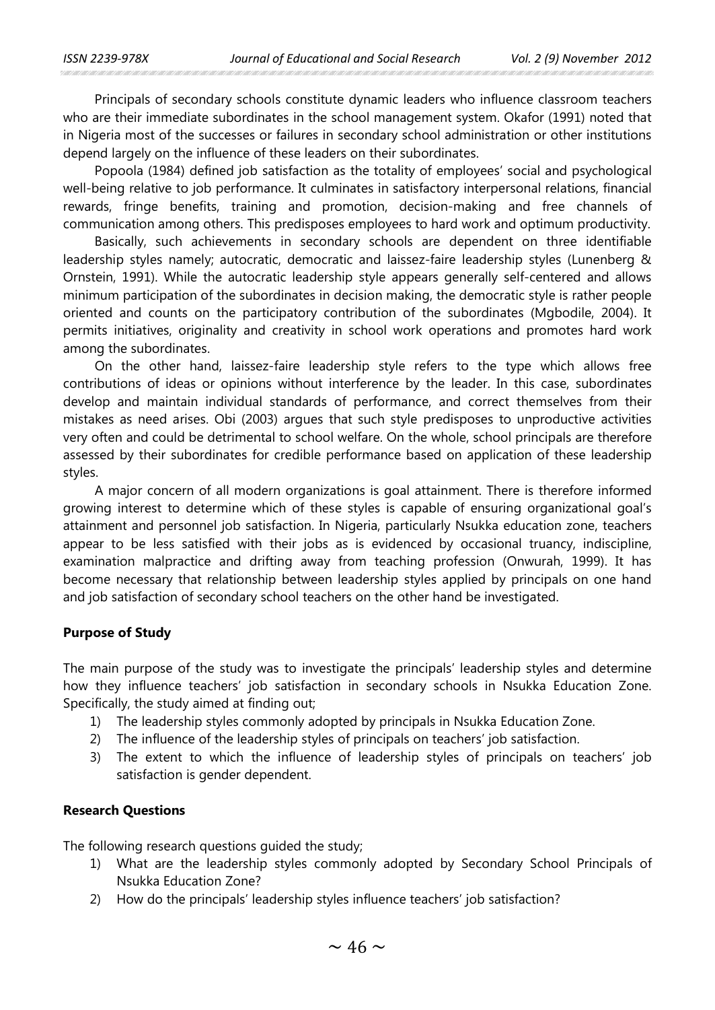Principals of secondary schools constitute dynamic leaders who influence classroom teachers who are their immediate subordinates in the school management system. Okafor (1991) noted that in Nigeria most of the successes or failures in secondary school administration or other institutions depend largely on the influence of these leaders on their subordinates.

Popoola (1984) defined job satisfaction as the totality of employees' social and psychological well-being relative to job performance. It culminates in satisfactory interpersonal relations, financial rewards, fringe benefits, training and promotion, decision-making and free channels of communication among others. This predisposes employees to hard work and optimum productivity.

Basically, such achievements in secondary schools are dependent on three identifiable leadership styles namely; autocratic, democratic and laissez-faire leadership styles (Lunenberg & Ornstein, 1991). While the autocratic leadership style appears generally self-centered and allows minimum participation of the subordinates in decision making, the democratic style is rather people oriented and counts on the participatory contribution of the subordinates (Mgbodile, 2004). It permits initiatives, originality and creativity in school work operations and promotes hard work among the subordinates.

On the other hand, laissez-faire leadership style refers to the type which allows free contributions of ideas or opinions without interference by the leader. In this case, subordinates develop and maintain individual standards of performance, and correct themselves from their mistakes as need arises. Obi (2003) argues that such style predisposes to unproductive activities very often and could be detrimental to school welfare. On the whole, school principals are therefore assessed by their subordinates for credible performance based on application of these leadership styles.

A major concern of all modern organizations is goal attainment. There is therefore informed growing interest to determine which of these styles is capable of ensuring organizational goal's attainment and personnel job satisfaction. In Nigeria, particularly Nsukka education zone, teachers appear to be less satisfied with their jobs as is evidenced by occasional truancy, indiscipline, examination malpractice and drifting away from teaching profession (Onwurah, 1999). It has become necessary that relationship between leadership styles applied by principals on one hand and job satisfaction of secondary school teachers on the other hand be investigated.

# **Purpose of Study**

The main purpose of the study was to investigate the principals' leadership styles and determine how they influence teachers' job satisfaction in secondary schools in Nsukka Education Zone. Specifically, the study aimed at finding out;

- 1) The leadership styles commonly adopted by principals in Nsukka Education Zone.
- 2) The influence of the leadership styles of principals on teachers' job satisfaction.
- 3) The extent to which the influence of leadership styles of principals on teachers' job satisfaction is gender dependent.

# **Research Questions**

The following research questions guided the study;

- 1) What are the leadership styles commonly adopted by Secondary School Principals of Nsukka Education Zone?
- 2) How do the principals' leadership styles influence teachers' job satisfaction?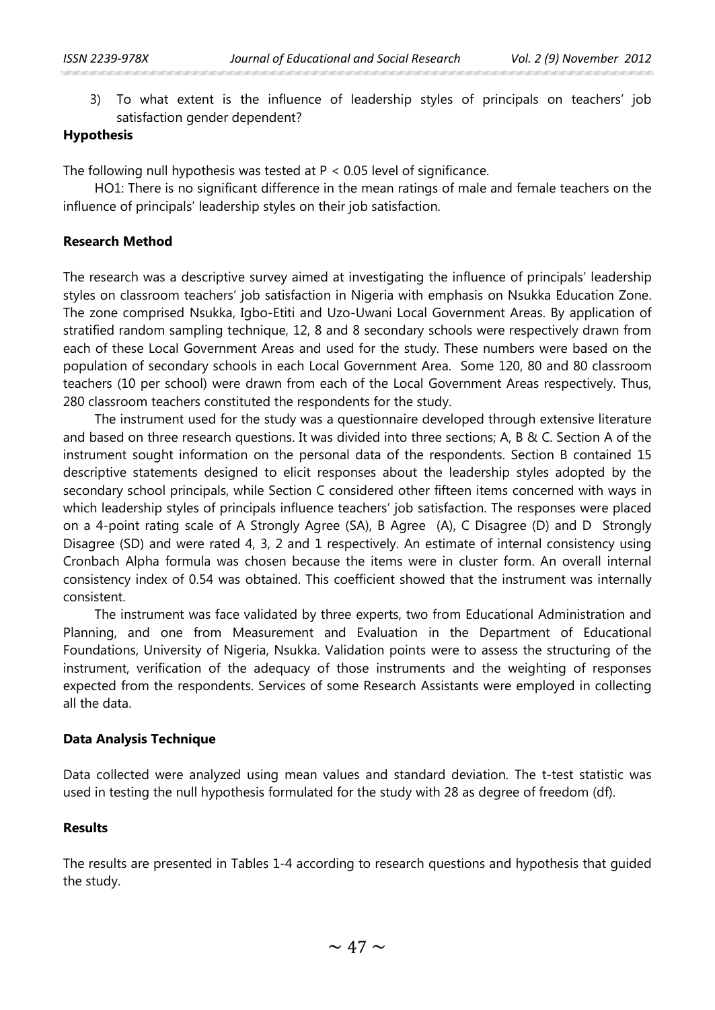3) To what extent is the influence of leadership styles of principals on teachers' job satisfaction gender dependent?

# **Hypothesis**

The following null hypothesis was tested at P < 0.05 level of significance.

HO1: There is no significant difference in the mean ratings of male and female teachers on the influence of principals' leadership styles on their job satisfaction.

# **Research Method**

The research was a descriptive survey aimed at investigating the influence of principals' leadership styles on classroom teachers' job satisfaction in Nigeria with emphasis on Nsukka Education Zone. The zone comprised Nsukka, Igbo-Etiti and Uzo-Uwani Local Government Areas. By application of stratified random sampling technique, 12, 8 and 8 secondary schools were respectively drawn from each of these Local Government Areas and used for the study. These numbers were based on the population of secondary schools in each Local Government Area. Some 120, 80 and 80 classroom teachers (10 per school) were drawn from each of the Local Government Areas respectively. Thus, 280 classroom teachers constituted the respondents for the study.

The instrument used for the study was a questionnaire developed through extensive literature and based on three research questions. It was divided into three sections; A, B & C. Section A of the instrument sought information on the personal data of the respondents. Section B contained 15 descriptive statements designed to elicit responses about the leadership styles adopted by the secondary school principals, while Section C considered other fifteen items concerned with ways in which leadership styles of principals influence teachers' job satisfaction. The responses were placed on a 4-point rating scale of A Strongly Agree (SA), B Agree (A), C Disagree (D) and D Strongly Disagree (SD) and were rated 4, 3, 2 and 1 respectively. An estimate of internal consistency using Cronbach Alpha formula was chosen because the items were in cluster form. An overall internal consistency index of 0.54 was obtained. This coefficient showed that the instrument was internally consistent.

The instrument was face validated by three experts, two from Educational Administration and Planning, and one from Measurement and Evaluation in the Department of Educational Foundations, University of Nigeria, Nsukka. Validation points were to assess the structuring of the instrument, verification of the adequacy of those instruments and the weighting of responses expected from the respondents. Services of some Research Assistants were employed in collecting all the data.

#### **Data Analysis Technique**

Data collected were analyzed using mean values and standard deviation. The t-test statistic was used in testing the null hypothesis formulated for the study with 28 as degree of freedom (df).

#### **Results**

The results are presented in Tables 1-4 according to research questions and hypothesis that guided the study.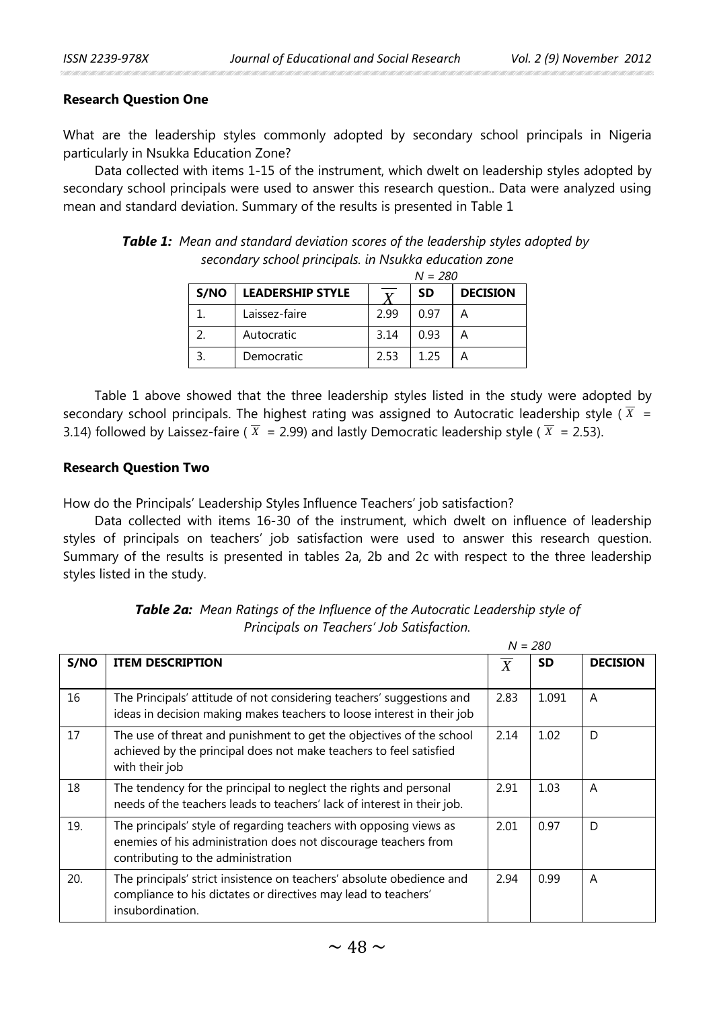## **Research Question One**

What are the leadership styles commonly adopted by secondary school principals in Nigeria particularly in Nsukka Education Zone?

Data collected with items 1-15 of the instrument, which dwelt on leadership styles adopted by secondary school principals were used to answer this research question.. Data were analyzed using mean and standard deviation. Summary of the results is presented in Table 1

*Table 1: Mean and standard deviation scores of the leadership styles adopted by secondary school principals. in Nsukka education zone*

|      |                         |                | $\mathbf{v} = \mathbf{v}$ |                 |
|------|-------------------------|----------------|---------------------------|-----------------|
| S/NO | <b>LEADERSHIP STYLE</b> | $\overline{v}$ | SD                        | <b>DECISION</b> |
|      | Laissez-faire           | 2.99           | 0.97                      | А               |
|      | Autocratic              | 3.14           | 0.93                      | А               |
|      | Democratic              | 253            | 1 25                      |                 |

*N = 280*

Table 1 above showed that the three leadership styles listed in the study were adopted by secondary school principals. The highest rating was assigned to Autocratic leadership style ( $X =$ 3.14) followed by Laissez-faire ( $X = 2.99$ ) and lastly Democratic leadership style ( $X = 2.53$ ).

#### **Research Question Two**

How do the Principals' Leadership Styles Influence Teachers' job satisfaction?

Data collected with items 16-30 of the instrument, which dwelt on influence of leadership styles of principals on teachers' job satisfaction were used to answer this research question. Summary of the results is presented in tables 2a, 2b and 2c with respect to the three leadership styles listed in the study.

|      | $N = 280$                                                                                                                                                                   |      |           |                 |  |  |
|------|-----------------------------------------------------------------------------------------------------------------------------------------------------------------------------|------|-----------|-----------------|--|--|
| S/NO | <b>ITEM DESCRIPTION</b>                                                                                                                                                     | X    | <b>SD</b> | <b>DECISION</b> |  |  |
| 16   | The Principals' attitude of not considering teachers' suggestions and<br>ideas in decision making makes teachers to loose interest in their job                             | 2.83 | 1.091     | A               |  |  |
| 17   | The use of threat and punishment to get the objectives of the school<br>achieved by the principal does not make teachers to feel satisfied<br>with their job                | 2.14 | 1.02      | D               |  |  |
| 18   | The tendency for the principal to neglect the rights and personal<br>needs of the teachers leads to teachers' lack of interest in their job.                                | 2.91 | 1.03      | A               |  |  |
| 19.  | The principals' style of regarding teachers with opposing views as<br>enemies of his administration does not discourage teachers from<br>contributing to the administration | 2.01 | 0.97      | D               |  |  |
| 20.  | The principals' strict insistence on teachers' absolute obedience and<br>compliance to his dictates or directives may lead to teachers'<br>insubordination.                 | 2.94 | 0.99      | A               |  |  |

*Table 2a: Mean Ratings of the Influence of the Autocratic Leadership style of Principals on Teachers' Job Satisfaction.*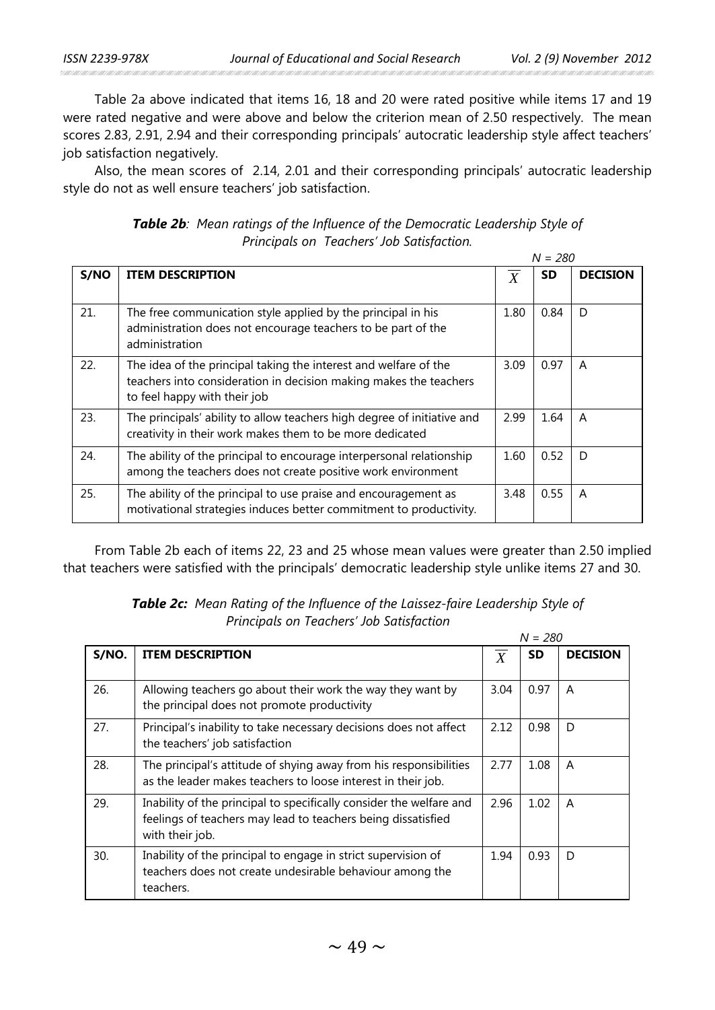Table 2a above indicated that items 16, 18 and 20 were rated positive while items 17 and 19 were rated negative and were above and below the criterion mean of 2.50 respectively. The mean scores 2.83, 2.91, 2.94 and their corresponding principals' autocratic leadership style affect teachers' job satisfaction negatively.

Also, the mean scores of 2.14, 2.01 and their corresponding principals' autocratic leadership style do not as well ensure teachers' job satisfaction.

| <b>Table 2b:</b> Mean ratings of the Influence of the Democratic Leadership Style of |
|--------------------------------------------------------------------------------------|
| Principals on Teachers' Job Satisfaction.                                            |

|      |                                                                         |                  | $N = 280$ |                 |
|------|-------------------------------------------------------------------------|------------------|-----------|-----------------|
| S/NO | <b>ITEM DESCRIPTION</b>                                                 | $\boldsymbol{X}$ | <b>SD</b> | <b>DECISION</b> |
|      |                                                                         |                  |           |                 |
| 21.  | The free communication style applied by the principal in his            | 1.80             | 0.84      | D               |
|      | administration does not encourage teachers to be part of the            |                  |           |                 |
|      | administration                                                          |                  |           |                 |
| 22.  | The idea of the principal taking the interest and welfare of the        | 3.09             | 0.97      | A               |
|      | teachers into consideration in decision making makes the teachers       |                  |           |                 |
|      | to feel happy with their job                                            |                  |           |                 |
| 23.  | The principals' ability to allow teachers high degree of initiative and | 2.99             | 1.64      | A               |
|      | creativity in their work makes them to be more dedicated                |                  |           |                 |
| 24.  | The ability of the principal to encourage interpersonal relationship    | 1.60             | 0.52      | D               |
|      | among the teachers does not create positive work environment            |                  |           |                 |
| 25.  | The ability of the principal to use praise and encouragement as         | 3.48             | 0.55      | A               |
|      | motivational strategies induces better commitment to productivity.      |                  |           |                 |
|      |                                                                         |                  |           |                 |

From Table 2b each of items 22, 23 and 25 whose mean values were greater than 2.50 implied that teachers were satisfied with the principals' democratic leadership style unlike items 27 and 30.

| S/NO. | <b>ITEM DESCRIPTION</b>                                                                                                                                | X    | <b>SD</b> | <b>DECISION</b> |
|-------|--------------------------------------------------------------------------------------------------------------------------------------------------------|------|-----------|-----------------|
|       |                                                                                                                                                        |      |           |                 |
| 26.   | Allowing teachers go about their work the way they want by<br>the principal does not promote productivity                                              | 3.04 | 0.97      | A               |
| 27.   | Principal's inability to take necessary decisions does not affect<br>the teachers' job satisfaction                                                    | 2.12 | 0.98      | D               |
| 28.   | The principal's attitude of shying away from his responsibilities<br>as the leader makes teachers to loose interest in their job.                      | 2.77 | 1.08      | A               |
| 29.   | Inability of the principal to specifically consider the welfare and<br>feelings of teachers may lead to teachers being dissatisfied<br>with their job. | 2.96 | 1.02      | A               |
| 30.   | Inability of the principal to engage in strict supervision of<br>teachers does not create undesirable behaviour among the<br>teachers.                 | 1.94 | 0.93      | D               |

*Table 2c: Mean Rating of the Influence of the Laissez-faire Leadership Style of Principals on Teachers' Job Satisfaction* *N = 280*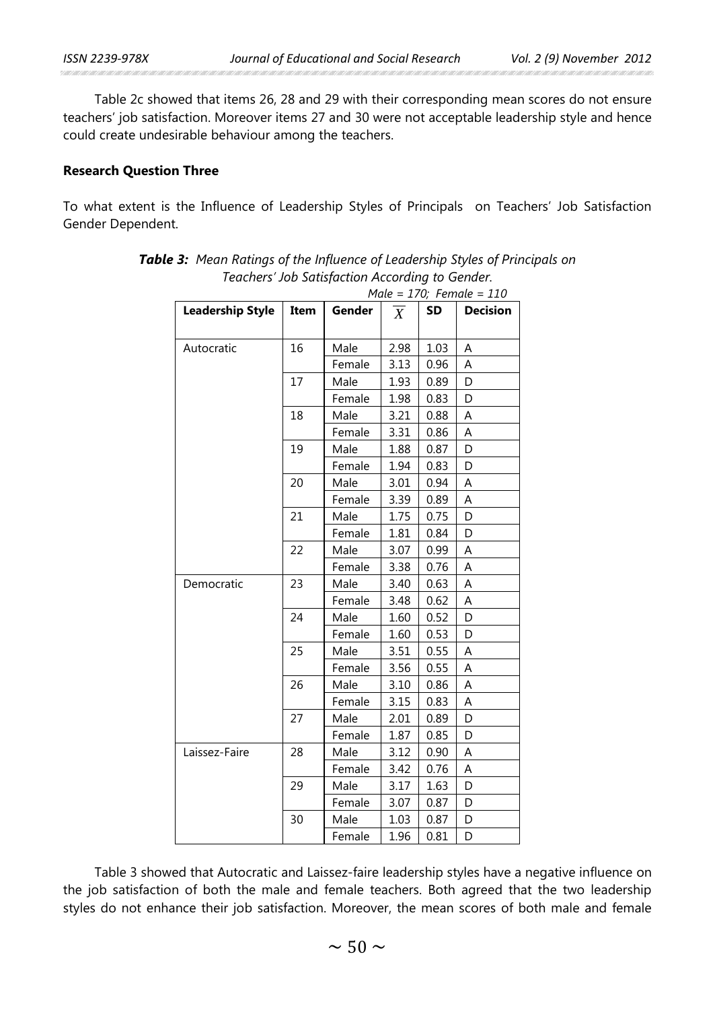Table 2c showed that items 26, 28 and 29 with their corresponding mean scores do not ensure teachers' job satisfaction. Moreover items 27 and 30 were not acceptable leadership style and hence could create undesirable behaviour among the teachers.

#### **Research Question Three**

To what extent is the Influence of Leadership Styles of Principals on Teachers' Job Satisfaction Gender Dependent.

| reachers <i>Job Satisfaction According to Genuer</i> .<br>Male = $170$ ; Female = $110$ |      |        |      |           |                 |  |
|-----------------------------------------------------------------------------------------|------|--------|------|-----------|-----------------|--|
| <b>Leadership Style</b>                                                                 | Item | Gender | X    | <b>SD</b> | <b>Decision</b> |  |
|                                                                                         |      |        |      |           |                 |  |
| Autocratic                                                                              | 16   | Male   | 2.98 | 1.03      | А               |  |
|                                                                                         |      | Female | 3.13 | 0.96      | Α               |  |
|                                                                                         | 17   | Male   | 1.93 | 0.89      | D               |  |
|                                                                                         |      | Female | 1.98 | 0.83      | D               |  |
|                                                                                         | 18   | Male   | 3.21 | 0.88      | А               |  |
|                                                                                         |      | Female | 3.31 | 0.86      | А               |  |
|                                                                                         | 19   | Male   | 1.88 | 0.87      | D               |  |
|                                                                                         |      | Female | 1.94 | 0.83      | D               |  |
|                                                                                         | 20   | Male   | 3.01 | 0.94      | Α               |  |
|                                                                                         |      | Female | 3.39 | 0.89      | Α               |  |
|                                                                                         | 21   | Male   | 1.75 | 0.75      | D               |  |
|                                                                                         |      | Female | 1.81 | 0.84      | D               |  |
|                                                                                         | 22   | Male   | 3.07 | 0.99      | Α               |  |
|                                                                                         |      | Female | 3.38 | 0.76      | Α               |  |
| Democratic                                                                              | 23   | Male   | 3.40 | 0.63      | А               |  |
|                                                                                         |      | Female | 3.48 | 0.62      | Α               |  |
|                                                                                         | 24   | Male   | 1.60 | 0.52      | D               |  |
|                                                                                         |      | Female | 1.60 | 0.53      | D               |  |
|                                                                                         | 25   | Male   | 3.51 | 0.55      | Α               |  |
|                                                                                         |      | Female | 3.56 | 0.55      | А               |  |
|                                                                                         | 26   | Male   | 3.10 | 0.86      | A               |  |
|                                                                                         |      | Female | 3.15 | 0.83      | Α               |  |
|                                                                                         | 27   | Male   | 2.01 | 0.89      | D               |  |
|                                                                                         |      | Female | 1.87 | 0.85      | D               |  |
| Laissez-Faire                                                                           | 28   | Male   | 3.12 | 0.90      | A               |  |
|                                                                                         |      | Female | 3.42 | 0.76      | А               |  |
|                                                                                         | 29   | Male   | 3.17 | 1.63      | D               |  |
|                                                                                         |      | Female | 3.07 | 0.87      | D               |  |
|                                                                                         | 30   | Male   | 1.03 | 0.87      | D               |  |
|                                                                                         |      | Female | 1.96 | 0.81      | D               |  |

| <b>Table 3:</b> Mean Ratings of the Influence of Leadership Styles of Principals on |
|-------------------------------------------------------------------------------------|
| Teachers' Job Satisfaction According to Gender.                                     |

Table 3 showed that Autocratic and Laissez-faire leadership styles have a negative influence on the job satisfaction of both the male and female teachers. Both agreed that the two leadership styles do not enhance their job satisfaction. Moreover, the mean scores of both male and female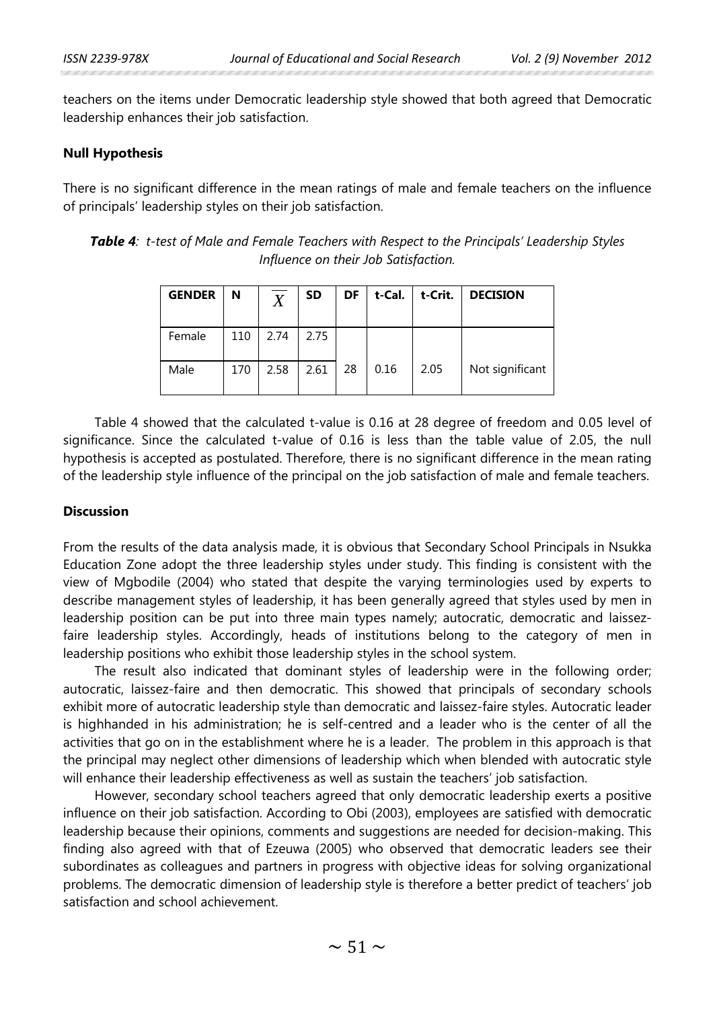teachers on the items under Democratic leadership style showed that both agreed that Democratic leadership enhances their job satisfaction.

#### **Null Hypothesis**

There is no significant difference in the mean ratings of male and female teachers on the influence of principals' leadership styles on their job satisfaction.

*Table 4: t-test of Male and Female Teachers with Respect to the Principals' Leadership Styles Influence on their Job Satisfaction.*

| <b>GENDER</b> | N   | $\overline{X}$ | <b>SD</b> | DF | t-Cal. | t-Crit. | <b>DECISION</b> |
|---------------|-----|----------------|-----------|----|--------|---------|-----------------|
| Female        | 110 | 2.74           | 2.75      |    |        |         |                 |
| Male          | 170 | 2.58           | 2.61      | 28 | 0.16   | 2.05    | Not significant |

Table 4 showed that the calculated t-value is 0.16 at 28 degree of freedom and 0.05 level of significance. Since the calculated t-value of 0.16 is less than the table value of 2.05, the null hypothesis is accepted as postulated. Therefore, there is no significant difference in the mean rating of the leadership style influence of the principal on the job satisfaction of male and female teachers.

# **Discussion**

From the results of the data analysis made, it is obvious that Secondary School Principals in Nsukka Education Zone adopt the three leadership styles under study. This finding is consistent with the view of Mgbodile (2004) who stated that despite the varying terminologies used by experts to describe management styles of leadership, it has been generally agreed that styles used by men in leadership position can be put into three main types namely; autocratic, democratic and laissezfaire leadership styles. Accordingly, heads of institutions belong to the category of men in leadership positions who exhibit those leadership styles in the school system.

The result also indicated that dominant styles of leadership were in the following order; autocratic, laissez-faire and then democratic. This showed that principals of secondary schools exhibit more of autocratic leadership style than democratic and laissez-faire styles. Autocratic leader is highhanded in his administration; he is self-centred and a leader who is the center of all the activities that go on in the establishment where he is a leader. The problem in this approach is that the principal may neglect other dimensions of leadership which when blended with autocratic style will enhance their leadership effectiveness as well as sustain the teachers' job satisfaction.

However, secondary school teachers agreed that only democratic leadership exerts a positive influence on their job satisfaction. According to Obi (2003), employees are satisfied with democratic leadership because their opinions, comments and suggestions are needed for decision-making. This finding also agreed with that of Ezeuwa (2005) who observed that democratic leaders see their subordinates as colleagues and partners in progress with objective ideas for solving organizational problems. The democratic dimension of leadership style is therefore a better predict of teachers' job satisfaction and school achievement.